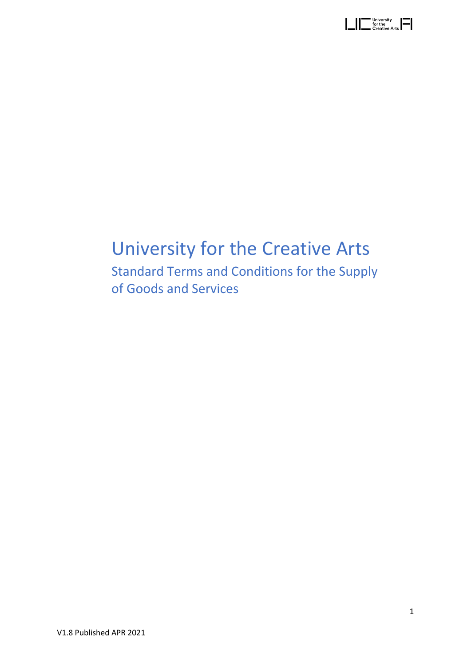| University<br>I<br>for the<br>Creative Arts I |  |
|-----------------------------------------------|--|
|-----------------------------------------------|--|

# University for the Creative Arts

Standard Terms and Conditions for the Supply of Goods and Services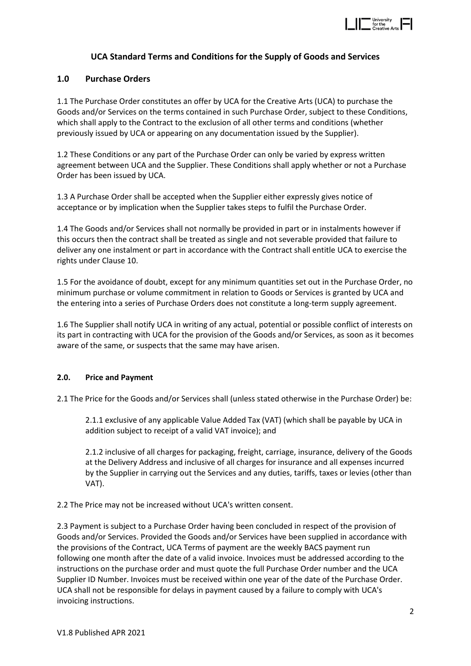

# **UCA Standard Terms and Conditions for the Supply of Goods and Services**

#### **1.0 Purchase Orders**

1.1 The Purchase Order constitutes an offer by UCA for the Creative Arts (UCA) to purchase the Goods and/or Services on the terms contained in such Purchase Order, subject to these Conditions, which shall apply to the Contract to the exclusion of all other terms and conditions (whether previously issued by UCA or appearing on any documentation issued by the Supplier).

1.2 These Conditions or any part of the Purchase Order can only be varied by express written agreement between UCA and the Supplier. These Conditions shall apply whether or not a Purchase Order has been issued by UCA.

1.3 A Purchase Order shall be accepted when the Supplier either expressly gives notice of acceptance or by implication when the Supplier takes steps to fulfil the Purchase Order.

1.4 The Goods and/or Services shall not normally be provided in part or in instalments however if this occurs then the contract shall be treated as single and not severable provided that failure to deliver any one instalment or part in accordance with the Contract shall entitle UCA to exercise the rights under Clause 10.

1.5 For the avoidance of doubt, except for any minimum quantities set out in the Purchase Order, no minimum purchase or volume commitment in relation to Goods or Services is granted by UCA and the entering into a series of Purchase Orders does not constitute a long-term supply agreement.

1.6 The Supplier shall notify UCA in writing of any actual, potential or possible conflict of interests on its part in contracting with UCA for the provision of the Goods and/or Services, as soon as it becomes aware of the same, or suspects that the same may have arisen.

#### **2.0. Price and Payment**

2.1 The Price for the Goods and/or Services shall (unless stated otherwise in the Purchase Order) be:

2.1.1 exclusive of any applicable Value Added Tax (VAT) (which shall be payable by UCA in addition subject to receipt of a valid VAT invoice); and

2.1.2 inclusive of all charges for packaging, freight, carriage, insurance, delivery of the Goods at the Delivery Address and inclusive of all charges for insurance and all expenses incurred by the Supplier in carrying out the Services and any duties, tariffs, taxes or levies (other than VAT).

2.2 The Price may not be increased without UCA's written consent.

2.3 Payment is subject to a Purchase Order having been concluded in respect of the provision of Goods and/or Services. Provided the Goods and/or Services have been supplied in accordance with the provisions of the Contract, UCA Terms of payment are the weekly BACS payment run following one month after the date of a valid invoice. Invoices must be addressed according to the instructions on the purchase order and must quote the full Purchase Order number and the UCA Supplier ID Number. Invoices must be received within one year of the date of the Purchase Order. UCA shall not be responsible for delays in payment caused by a failure to comply with UCA's invoicing instructions.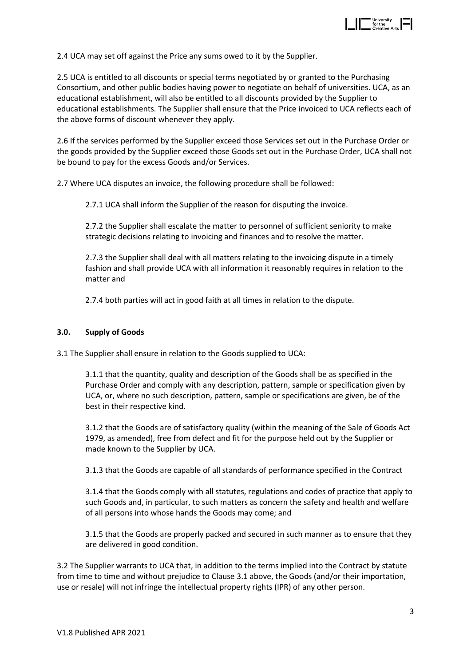

2.4 UCA may set off against the Price any sums owed to it by the Supplier.

2.5 UCA is entitled to all discounts or special terms negotiated by or granted to the Purchasing Consortium, and other public bodies having power to negotiate on behalf of universities. UCA, as an educational establishment, will also be entitled to all discounts provided by the Supplier to educational establishments. The Supplier shall ensure that the Price invoiced to UCA reflects each of the above forms of discount whenever they apply.

2.6 If the services performed by the Supplier exceed those Services set out in the Purchase Order or the goods provided by the Supplier exceed those Goods set out in the Purchase Order, UCA shall not be bound to pay for the excess Goods and/or Services.

2.7 Where UCA disputes an invoice, the following procedure shall be followed:

2.7.1 UCA shall inform the Supplier of the reason for disputing the invoice.

2.7.2 the Supplier shall escalate the matter to personnel of sufficient seniority to make strategic decisions relating to invoicing and finances and to resolve the matter.

2.7.3 the Supplier shall deal with all matters relating to the invoicing dispute in a timely fashion and shall provide UCA with all information it reasonably requires in relation to the matter and

2.7.4 both parties will act in good faith at all times in relation to the dispute.

#### **3.0. Supply of Goods**

3.1 The Supplier shall ensure in relation to the Goods supplied to UCA:

3.1.1 that the quantity, quality and description of the Goods shall be as specified in the Purchase Order and comply with any description, pattern, sample or specification given by UCA, or, where no such description, pattern, sample or specifications are given, be of the best in their respective kind.

3.1.2 that the Goods are of satisfactory quality (within the meaning of the Sale of Goods Act 1979, as amended), free from defect and fit for the purpose held out by the Supplier or made known to the Supplier by UCA.

3.1.3 that the Goods are capable of all standards of performance specified in the Contract

3.1.4 that the Goods comply with all statutes, regulations and codes of practice that apply to such Goods and, in particular, to such matters as concern the safety and health and welfare of all persons into whose hands the Goods may come; and

3.1.5 that the Goods are properly packed and secured in such manner as to ensure that they are delivered in good condition.

3.2 The Supplier warrants to UCA that, in addition to the terms implied into the Contract by statute from time to time and without prejudice to Clause 3.1 above, the Goods (and/or their importation, use or resale) will not infringe the intellectual property rights (IPR) of any other person.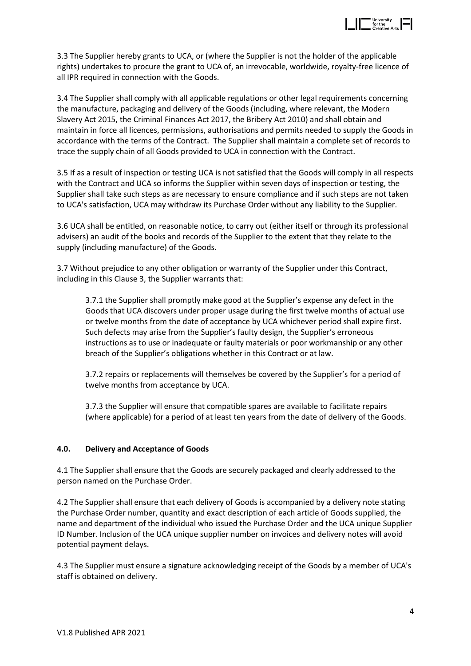

3.3 The Supplier hereby grants to UCA, or (where the Supplier is not the holder of the applicable rights) undertakes to procure the grant to UCA of, an irrevocable, worldwide, royalty-free licence of all IPR required in connection with the Goods.

3.4 The Supplier shall comply with all applicable regulations or other legal requirements concerning the manufacture, packaging and delivery of the Goods (including, where relevant, the Modern Slavery Act 2015, the Criminal Finances Act 2017, the Bribery Act 2010) and shall obtain and maintain in force all licences, permissions, authorisations and permits needed to supply the Goods in accordance with the terms of the Contract. The Supplier shall maintain a complete set of records to trace the supply chain of all Goods provided to UCA in connection with the Contract.

3.5 If as a result of inspection or testing UCA is not satisfied that the Goods will comply in all respects with the Contract and UCA so informs the Supplier within seven days of inspection or testing, the Supplier shall take such steps as are necessary to ensure compliance and if such steps are not taken to UCA's satisfaction, UCA may withdraw its Purchase Order without any liability to the Supplier.

3.6 UCA shall be entitled, on reasonable notice, to carry out (either itself or through its professional advisers) an audit of the books and records of the Supplier to the extent that they relate to the supply (including manufacture) of the Goods.

3.7 Without prejudice to any other obligation or warranty of the Supplier under this Contract, including in this Clause 3, the Supplier warrants that:

3.7.1 the Supplier shall promptly make good at the Supplier's expense any defect in the Goods that UCA discovers under proper usage during the first twelve months of actual use or twelve months from the date of acceptance by UCA whichever period shall expire first. Such defects may arise from the Supplier's faulty design, the Supplier's erroneous instructions as to use or inadequate or faulty materials or poor workmanship or any other breach of the Supplier's obligations whether in this Contract or at law.

3.7.2 repairs or replacements will themselves be covered by the Supplier's for a period of twelve months from acceptance by UCA.

3.7.3 the Supplier will ensure that compatible spares are available to facilitate repairs (where applicable) for a period of at least ten years from the date of delivery of the Goods.

#### **4.0. Delivery and Acceptance of Goods**

4.1 The Supplier shall ensure that the Goods are securely packaged and clearly addressed to the person named on the Purchase Order.

4.2 The Supplier shall ensure that each delivery of Goods is accompanied by a delivery note stating the Purchase Order number, quantity and exact description of each article of Goods supplied, the name and department of the individual who issued the Purchase Order and the UCA unique Supplier ID Number. Inclusion of the UCA unique supplier number on invoices and delivery notes will avoid potential payment delays.

4.3 The Supplier must ensure a signature acknowledging receipt of the Goods by a member of UCA's staff is obtained on delivery.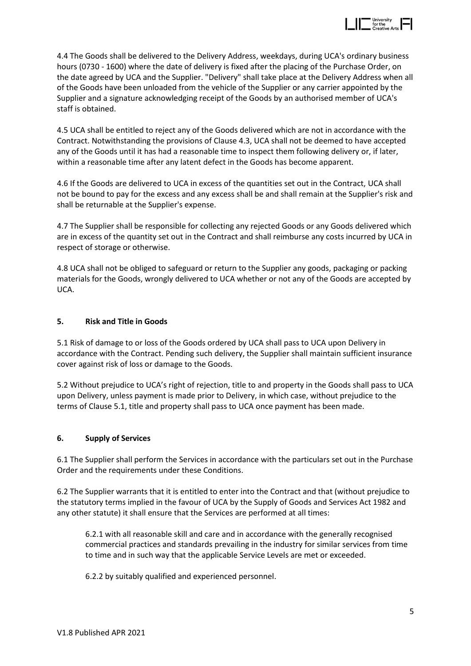

4.4 The Goods shall be delivered to the Delivery Address, weekdays, during UCA's ordinary business hours (0730 - 1600) where the date of delivery is fixed after the placing of the Purchase Order, on the date agreed by UCA and the Supplier. "Delivery" shall take place at the Delivery Address when all of the Goods have been unloaded from the vehicle of the Supplier or any carrier appointed by the Supplier and a signature acknowledging receipt of the Goods by an authorised member of UCA's staff is obtained.

4.5 UCA shall be entitled to reject any of the Goods delivered which are not in accordance with the Contract. Notwithstanding the provisions of Clause 4.3, UCA shall not be deemed to have accepted any of the Goods until it has had a reasonable time to inspect them following delivery or, if later, within a reasonable time after any latent defect in the Goods has become apparent.

4.6 If the Goods are delivered to UCA in excess of the quantities set out in the Contract, UCA shall not be bound to pay for the excess and any excess shall be and shall remain at the Supplier's risk and shall be returnable at the Supplier's expense.

4.7 The Supplier shall be responsible for collecting any rejected Goods or any Goods delivered which are in excess of the quantity set out in the Contract and shall reimburse any costs incurred by UCA in respect of storage or otherwise.

4.8 UCA shall not be obliged to safeguard or return to the Supplier any goods, packaging or packing materials for the Goods, wrongly delivered to UCA whether or not any of the Goods are accepted by UCA.

#### **5. Risk and Title in Goods**

5.1 Risk of damage to or loss of the Goods ordered by UCA shall pass to UCA upon Delivery in accordance with the Contract. Pending such delivery, the Supplier shall maintain sufficient insurance cover against risk of loss or damage to the Goods.

5.2 Without prejudice to UCA's right of rejection, title to and property in the Goods shall pass to UCA upon Delivery, unless payment is made prior to Delivery, in which case, without prejudice to the terms of Clause 5.1, title and property shall pass to UCA once payment has been made.

#### **6. Supply of Services**

6.1 The Supplier shall perform the Services in accordance with the particulars set out in the Purchase Order and the requirements under these Conditions.

6.2 The Supplier warrants that it is entitled to enter into the Contract and that (without prejudice to the statutory terms implied in the favour of UCA by the Supply of Goods and Services Act 1982 and any other statute) it shall ensure that the Services are performed at all times:

6.2.1 with all reasonable skill and care and in accordance with the generally recognised commercial practices and standards prevailing in the industry for similar services from time to time and in such way that the applicable Service Levels are met or exceeded.

6.2.2 by suitably qualified and experienced personnel.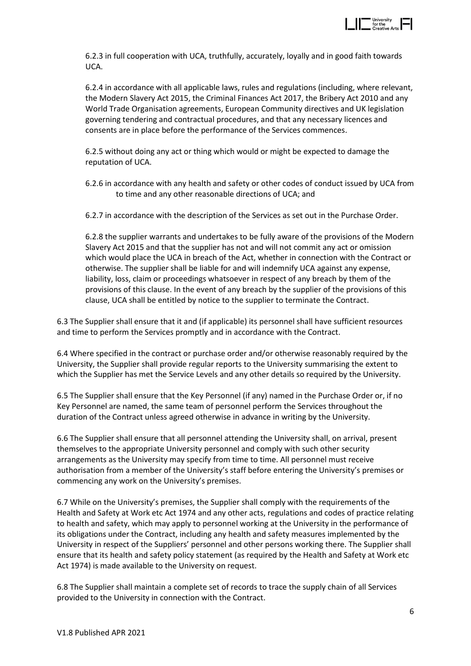

6.2.3 in full cooperation with UCA, truthfully, accurately, loyally and in good faith towards UCA.

6.2.4 in accordance with all applicable laws, rules and regulations (including, where relevant, the Modern Slavery Act 2015, the Criminal Finances Act 2017, the Bribery Act 2010 and any World Trade Organisation agreements, European Community directives and UK legislation governing tendering and contractual procedures, and that any necessary licences and consents are in place before the performance of the Services commences.

6.2.5 without doing any act or thing which would or might be expected to damage the reputation of UCA.

6.2.6 in accordance with any health and safety or other codes of conduct issued by UCA from to time and any other reasonable directions of UCA; and

6.2.7 in accordance with the description of the Services as set out in the Purchase Order.

6.2.8 the supplier warrants and undertakes to be fully aware of the provisions of the Modern Slavery Act 2015 and that the supplier has not and will not commit any act or omission which would place the UCA in breach of the Act, whether in connection with the Contract or otherwise. The supplier shall be liable for and will indemnify UCA against any expense, liability, loss, claim or proceedings whatsoever in respect of any breach by them of the provisions of this clause. In the event of any breach by the supplier of the provisions of this clause, UCA shall be entitled by notice to the supplier to terminate the Contract.

6.3 The Supplier shall ensure that it and (if applicable) its personnel shall have sufficient resources and time to perform the Services promptly and in accordance with the Contract.

6.4 Where specified in the contract or purchase order and/or otherwise reasonably required by the University, the Supplier shall provide regular reports to the University summarising the extent to which the Supplier has met the Service Levels and any other details so required by the University.

6.5 The Supplier shall ensure that the Key Personnel (if any) named in the Purchase Order or, if no Key Personnel are named, the same team of personnel perform the Services throughout the duration of the Contract unless agreed otherwise in advance in writing by the University.

6.6 The Supplier shall ensure that all personnel attending the University shall, on arrival, present themselves to the appropriate University personnel and comply with such other security arrangements as the University may specify from time to time. All personnel must receive authorisation from a member of the University's staff before entering the University's premises or commencing any work on the University's premises.

6.7 While on the University's premises, the Supplier shall comply with the requirements of the Health and Safety at Work etc Act 1974 and any other acts, regulations and codes of practice relating to health and safety, which may apply to personnel working at the University in the performance of its obligations under the Contract, including any health and safety measures implemented by the University in respect of the Suppliers' personnel and other persons working there. The Supplier shall ensure that its health and safety policy statement (as required by the Health and Safety at Work etc Act 1974) is made available to the University on request.

6.8 The Supplier shall maintain a complete set of records to trace the supply chain of all Services provided to the University in connection with the Contract.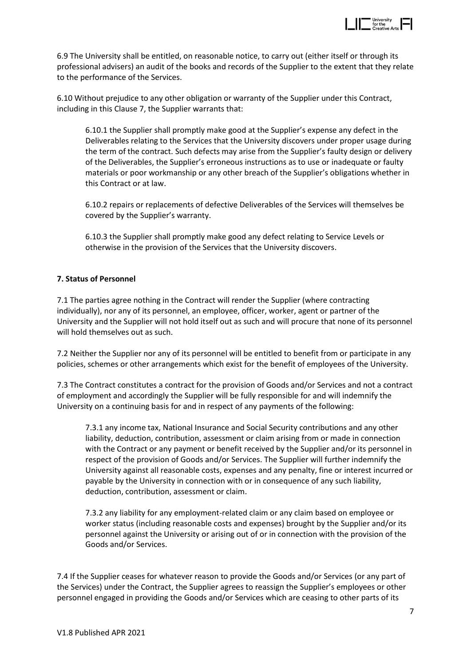

6.9 The University shall be entitled, on reasonable notice, to carry out (either itself or through its professional advisers) an audit of the books and records of the Supplier to the extent that they relate to the performance of the Services.

6.10 Without prejudice to any other obligation or warranty of the Supplier under this Contract, including in this Clause 7, the Supplier warrants that:

6.10.1 the Supplier shall promptly make good at the Supplier's expense any defect in the Deliverables relating to the Services that the University discovers under proper usage during the term of the contract. Such defects may arise from the Supplier's faulty design or delivery of the Deliverables, the Supplier's erroneous instructions as to use or inadequate or faulty materials or poor workmanship or any other breach of the Supplier's obligations whether in this Contract or at law.

6.10.2 repairs or replacements of defective Deliverables of the Services will themselves be covered by the Supplier's warranty.

6.10.3 the Supplier shall promptly make good any defect relating to Service Levels or otherwise in the provision of the Services that the University discovers.

#### **7. Status of Personnel**

7.1 The parties agree nothing in the Contract will render the Supplier (where contracting individually), nor any of its personnel, an employee, officer, worker, agent or partner of the University and the Supplier will not hold itself out as such and will procure that none of its personnel will hold themselves out as such.

7.2 Neither the Supplier nor any of its personnel will be entitled to benefit from or participate in any policies, schemes or other arrangements which exist for the benefit of employees of the University.

7.3 The Contract constitutes a contract for the provision of Goods and/or Services and not a contract of employment and accordingly the Supplier will be fully responsible for and will indemnify the University on a continuing basis for and in respect of any payments of the following:

7.3.1 any income tax, National Insurance and Social Security contributions and any other liability, deduction, contribution, assessment or claim arising from or made in connection with the Contract or any payment or benefit received by the Supplier and/or its personnel in respect of the provision of Goods and/or Services. The Supplier will further indemnify the University against all reasonable costs, expenses and any penalty, fine or interest incurred or payable by the University in connection with or in consequence of any such liability, deduction, contribution, assessment or claim.

7.3.2 any liability for any employment-related claim or any claim based on employee or worker status (including reasonable costs and expenses) brought by the Supplier and/or its personnel against the University or arising out of or in connection with the provision of the Goods and/or Services.

7.4 If the Supplier ceases for whatever reason to provide the Goods and/or Services (or any part of the Services) under the Contract, the Supplier agrees to reassign the Supplier's employees or other personnel engaged in providing the Goods and/or Services which are ceasing to other parts of its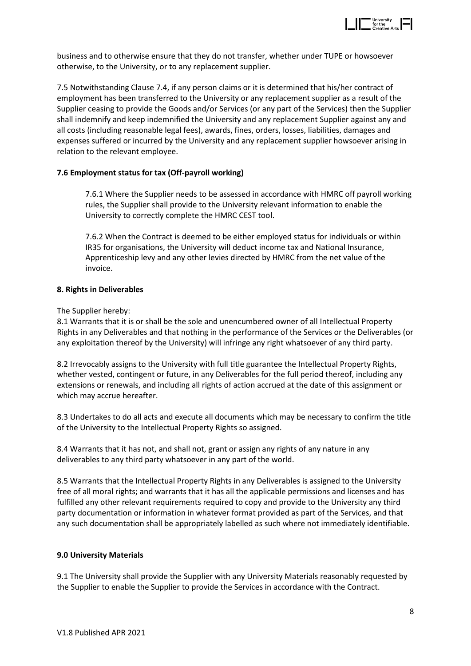

business and to otherwise ensure that they do not transfer, whether under TUPE or howsoever otherwise, to the University, or to any replacement supplier.

7.5 Notwithstanding Clause 7.4, if any person claims or it is determined that his/her contract of employment has been transferred to the University or any replacement supplier as a result of the Supplier ceasing to provide the Goods and/or Services (or any part of the Services) then the Supplier shall indemnify and keep indemnified the University and any replacement Supplier against any and all costs (including reasonable legal fees), awards, fines, orders, losses, liabilities, damages and expenses suffered or incurred by the University and any replacement supplier howsoever arising in relation to the relevant employee.

#### **7.6 Employment status for tax (Off-payroll working)**

7.6.1 Where the Supplier needs to be assessed in accordance with HMRC off payroll working rules, the Supplier shall provide to the University relevant information to enable the University to correctly complete the HMRC CEST tool.

7.6.2 When the Contract is deemed to be either employed status for individuals or within IR35 for organisations, the University will deduct income tax and National Insurance, Apprenticeship levy and any other levies directed by HMRC from the net value of the invoice.

#### **8. Rights in Deliverables**

#### The Supplier hereby:

8.1 Warrants that it is or shall be the sole and unencumbered owner of all Intellectual Property Rights in any Deliverables and that nothing in the performance of the Services or the Deliverables (or any exploitation thereof by the University) will infringe any right whatsoever of any third party.

8.2 Irrevocably assigns to the University with full title guarantee the Intellectual Property Rights, whether vested, contingent or future, in any Deliverables for the full period thereof, including any extensions or renewals, and including all rights of action accrued at the date of this assignment or which may accrue hereafter.

8.3 Undertakes to do all acts and execute all documents which may be necessary to confirm the title of the University to the Intellectual Property Rights so assigned.

8.4 Warrants that it has not, and shall not, grant or assign any rights of any nature in any deliverables to any third party whatsoever in any part of the world.

8.5 Warrants that the Intellectual Property Rights in any Deliverables is assigned to the University free of all moral rights; and warrants that it has all the applicable permissions and licenses and has fulfilled any other relevant requirements required to copy and provide to the University any third party documentation or information in whatever format provided as part of the Services, and that any such documentation shall be appropriately labelled as such where not immediately identifiable.

#### **9.0 University Materials**

9.1 The University shall provide the Supplier with any University Materials reasonably requested by the Supplier to enable the Supplier to provide the Services in accordance with the Contract.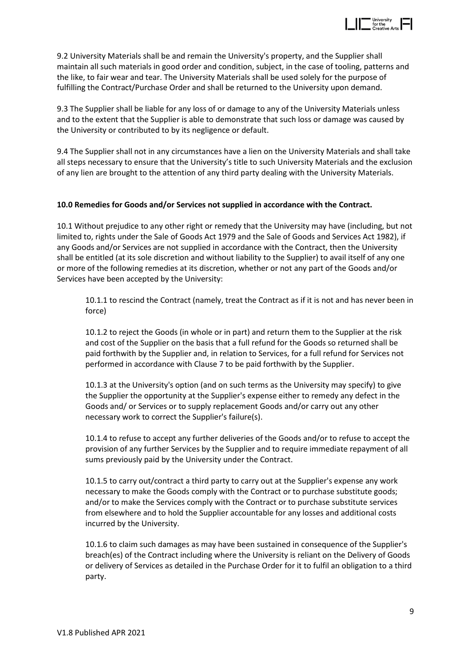

9.2 University Materials shall be and remain the University's property, and the Supplier shall maintain all such materials in good order and condition, subject, in the case of tooling, patterns and the like, to fair wear and tear. The University Materials shall be used solely for the purpose of fulfilling the Contract/Purchase Order and shall be returned to the University upon demand.

9.3 The Supplier shall be liable for any loss of or damage to any of the University Materials unless and to the extent that the Supplier is able to demonstrate that such loss or damage was caused by the University or contributed to by its negligence or default.

9.4 The Supplier shall not in any circumstances have a lien on the University Materials and shall take all steps necessary to ensure that the University's title to such University Materials and the exclusion of any lien are brought to the attention of any third party dealing with the University Materials.

#### **10.0 Remedies for Goods and/or Services not supplied in accordance with the Contract.**

10.1 Without prejudice to any other right or remedy that the University may have (including, but not limited to, rights under the Sale of Goods Act 1979 and the Sale of Goods and Services Act 1982), if any Goods and/or Services are not supplied in accordance with the Contract, then the University shall be entitled (at its sole discretion and without liability to the Supplier) to avail itself of any one or more of the following remedies at its discretion, whether or not any part of the Goods and/or Services have been accepted by the University:

10.1.1 to rescind the Contract (namely, treat the Contract as if it is not and has never been in force)

10.1.2 to reject the Goods (in whole or in part) and return them to the Supplier at the risk and cost of the Supplier on the basis that a full refund for the Goods so returned shall be paid forthwith by the Supplier and, in relation to Services, for a full refund for Services not performed in accordance with Clause 7 to be paid forthwith by the Supplier.

10.1.3 at the University's option (and on such terms as the University may specify) to give the Supplier the opportunity at the Supplier's expense either to remedy any defect in the Goods and/ or Services or to supply replacement Goods and/or carry out any other necessary work to correct the Supplier's failure(s).

10.1.4 to refuse to accept any further deliveries of the Goods and/or to refuse to accept the provision of any further Services by the Supplier and to require immediate repayment of all sums previously paid by the University under the Contract.

10.1.5 to carry out/contract a third party to carry out at the Supplier's expense any work necessary to make the Goods comply with the Contract or to purchase substitute goods; and/or to make the Services comply with the Contract or to purchase substitute services from elsewhere and to hold the Supplier accountable for any losses and additional costs incurred by the University.

10.1.6 to claim such damages as may have been sustained in consequence of the Supplier's breach(es) of the Contract including where the University is reliant on the Delivery of Goods or delivery of Services as detailed in the Purchase Order for it to fulfil an obligation to a third party.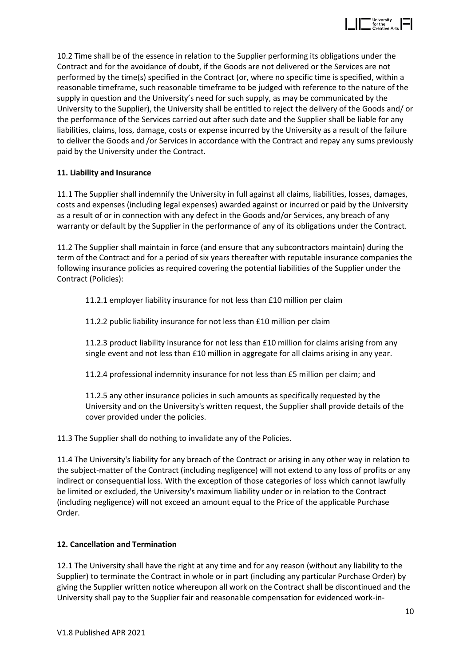

10.2 Time shall be of the essence in relation to the Supplier performing its obligations under the Contract and for the avoidance of doubt, if the Goods are not delivered or the Services are not performed by the time(s) specified in the Contract (or, where no specific time is specified, within a reasonable timeframe, such reasonable timeframe to be judged with reference to the nature of the supply in question and the University's need for such supply, as may be communicated by the University to the Supplier), the University shall be entitled to reject the delivery of the Goods and/ or the performance of the Services carried out after such date and the Supplier shall be liable for any liabilities, claims, loss, damage, costs or expense incurred by the University as a result of the failure to deliver the Goods and /or Services in accordance with the Contract and repay any sums previously paid by the University under the Contract.

#### **11. Liability and Insurance**

11.1 The Supplier shall indemnify the University in full against all claims, liabilities, losses, damages, costs and expenses (including legal expenses) awarded against or incurred or paid by the University as a result of or in connection with any defect in the Goods and/or Services, any breach of any warranty or default by the Supplier in the performance of any of its obligations under the Contract.

11.2 The Supplier shall maintain in force (and ensure that any subcontractors maintain) during the term of the Contract and for a period of six years thereafter with reputable insurance companies the following insurance policies as required covering the potential liabilities of the Supplier under the Contract (Policies):

11.2.1 employer liability insurance for not less than £10 million per claim

11.2.2 public liability insurance for not less than £10 million per claim

11.2.3 product liability insurance for not less than £10 million for claims arising from any single event and not less than £10 million in aggregate for all claims arising in any year.

11.2.4 professional indemnity insurance for not less than £5 million per claim; and

11.2.5 any other insurance policies in such amounts as specifically requested by the University and on the University's written request, the Supplier shall provide details of the cover provided under the policies.

11.3 The Supplier shall do nothing to invalidate any of the Policies.

11.4 The University's liability for any breach of the Contract or arising in any other way in relation to the subject-matter of the Contract (including negligence) will not extend to any loss of profits or any indirect or consequential loss. With the exception of those categories of loss which cannot lawfully be limited or excluded, the University's maximum liability under or in relation to the Contract (including negligence) will not exceed an amount equal to the Price of the applicable Purchase Order.

#### **12. Cancellation and Termination**

12.1 The University shall have the right at any time and for any reason (without any liability to the Supplier) to terminate the Contract in whole or in part (including any particular Purchase Order) by giving the Supplier written notice whereupon all work on the Contract shall be discontinued and the University shall pay to the Supplier fair and reasonable compensation for evidenced work-in-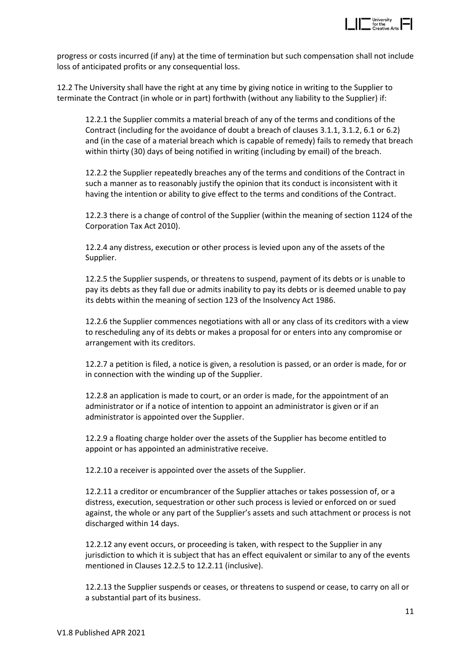

progress or costs incurred (if any) at the time of termination but such compensation shall not include loss of anticipated profits or any consequential loss.

12.2 The University shall have the right at any time by giving notice in writing to the Supplier to terminate the Contract (in whole or in part) forthwith (without any liability to the Supplier) if:

12.2.1 the Supplier commits a material breach of any of the terms and conditions of the Contract (including for the avoidance of doubt a breach of clauses 3.1.1, 3.1.2, 6.1 or 6.2) and (in the case of a material breach which is capable of remedy) fails to remedy that breach within thirty (30) days of being notified in writing (including by email) of the breach.

12.2.2 the Supplier repeatedly breaches any of the terms and conditions of the Contract in such a manner as to reasonably justify the opinion that its conduct is inconsistent with it having the intention or ability to give effect to the terms and conditions of the Contract.

12.2.3 there is a change of control of the Supplier (within the meaning of section 1124 of the Corporation Tax Act 2010).

12.2.4 any distress, execution or other process is levied upon any of the assets of the Supplier.

12.2.5 the Supplier suspends, or threatens to suspend, payment of its debts or is unable to pay its debts as they fall due or admits inability to pay its debts or is deemed unable to pay its debts within the meaning of section 123 of the Insolvency Act 1986.

12.2.6 the Supplier commences negotiations with all or any class of its creditors with a view to rescheduling any of its debts or makes a proposal for or enters into any compromise or arrangement with its creditors.

12.2.7 a petition is filed, a notice is given, a resolution is passed, or an order is made, for or in connection with the winding up of the Supplier.

12.2.8 an application is made to court, or an order is made, for the appointment of an administrator or if a notice of intention to appoint an administrator is given or if an administrator is appointed over the Supplier.

12.2.9 a floating charge holder over the assets of the Supplier has become entitled to appoint or has appointed an administrative receive.

12.2.10 a receiver is appointed over the assets of the Supplier.

12.2.11 a creditor or encumbrancer of the Supplier attaches or takes possession of, or a distress, execution, sequestration or other such process is levied or enforced on or sued against, the whole or any part of the Supplier's assets and such attachment or process is not discharged within 14 days.

12.2.12 any event occurs, or proceeding is taken, with respect to the Supplier in any jurisdiction to which it is subject that has an effect equivalent or similar to any of the events mentioned in Clauses 12.2.5 to 12.2.11 (inclusive).

12.2.13 the Supplier suspends or ceases, or threatens to suspend or cease, to carry on all or a substantial part of its business.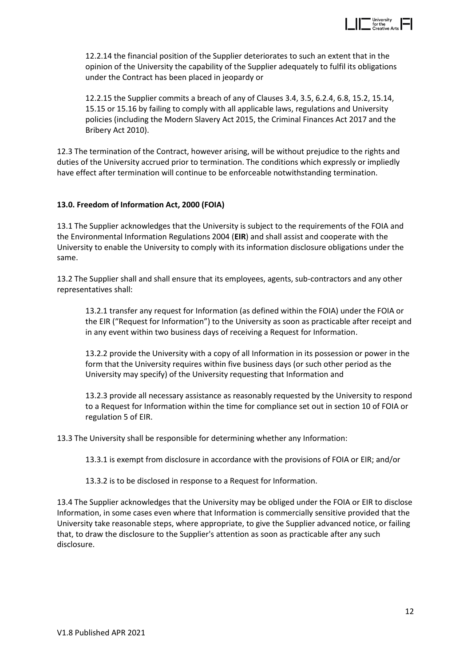

12.2.14 the financial position of the Supplier deteriorates to such an extent that in the opinion of the University the capability of the Supplier adequately to fulfil its obligations under the Contract has been placed in jeopardy or

12.2.15 the Supplier commits a breach of any of Clauses 3.4, 3.5, 6.2.4, 6.8, 15.2, 15.14, 15.15 or 15.16 by failing to comply with all applicable laws, regulations and University policies (including the Modern Slavery Act 2015, the Criminal Finances Act 2017 and the Bribery Act 2010).

12.3 The termination of the Contract, however arising, will be without prejudice to the rights and duties of the University accrued prior to termination. The conditions which expressly or impliedly have effect after termination will continue to be enforceable notwithstanding termination.

#### **13.0. Freedom of Information Act, 2000 (FOIA)**

13.1 The Supplier acknowledges that the University is subject to the requirements of the FOIA and the Environmental Information Regulations 2004 (**EIR**) and shall assist and cooperate with the University to enable the University to comply with its information disclosure obligations under the same.

13.2 The Supplier shall and shall ensure that its employees, agents, sub-contractors and any other representatives shall:

13.2.1 transfer any request for Information (as defined within the FOIA) under the FOIA or the EIR ("Request for Information") to the University as soon as practicable after receipt and in any event within two business days of receiving a Request for Information.

13.2.2 provide the University with a copy of all Information in its possession or power in the form that the University requires within five business days (or such other period as the University may specify) of the University requesting that Information and

13.2.3 provide all necessary assistance as reasonably requested by the University to respond to a Request for Information within the time for compliance set out in section 10 of FOIA or regulation 5 of EIR.

13.3 The University shall be responsible for determining whether any Information:

13.3.1 is exempt from disclosure in accordance with the provisions of FOIA or EIR; and/or

13.3.2 is to be disclosed in response to a Request for Information.

13.4 The Supplier acknowledges that the University may be obliged under the FOIA or EIR to disclose Information, in some cases even where that Information is commercially sensitive provided that the University take reasonable steps, where appropriate, to give the Supplier advanced notice, or failing that, to draw the disclosure to the Supplier's attention as soon as practicable after any such disclosure.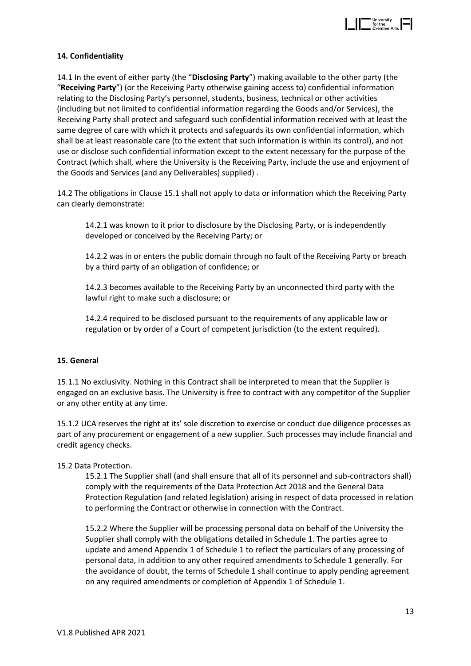

#### **14. Confidentiality**

14.1 In the event of either party (the "**Disclosing Party**") making available to the other party (the "**Receiving Party**") (or the Receiving Party otherwise gaining access to) confidential information relating to the Disclosing Party's personnel, students, business, technical or other activities (including but not limited to confidential information regarding the Goods and/or Services), the Receiving Party shall protect and safeguard such confidential information received with at least the same degree of care with which it protects and safeguards its own confidential information, which shall be at least reasonable care (to the extent that such information is within its control), and not use or disclose such confidential information except to the extent necessary for the purpose of the Contract (which shall, where the University is the Receiving Party, include the use and enjoyment of the Goods and Services (and any Deliverables) supplied) .

14.2 The obligations in Clause 15.1 shall not apply to data or information which the Receiving Party can clearly demonstrate:

14.2.1 was known to it prior to disclosure by the Disclosing Party, or is independently developed or conceived by the Receiving Party; or

14.2.2 was in or enters the public domain through no fault of the Receiving Party or breach by a third party of an obligation of confidence; or

14.2.3 becomes available to the Receiving Party by an unconnected third party with the lawful right to make such a disclosure; or

14.2.4 required to be disclosed pursuant to the requirements of any applicable law or regulation or by order of a Court of competent jurisdiction (to the extent required).

#### **15. General**

15.1.1 No exclusivity. Nothing in this Contract shall be interpreted to mean that the Supplier is engaged on an exclusive basis. The University is free to contract with any competitor of the Supplier or any other entity at any time.

15.1.2 UCA reserves the right at its' sole discretion to exercise or conduct due diligence processes as part of any procurement or engagement of a new supplier. Such processes may include financial and credit agency checks.

#### 15.2 Data Protection.

15.2.1 The Supplier shall (and shall ensure that all of its personnel and sub-contractors shall) comply with the requirements of the Data Protection Act 2018 and the General Data Protection Regulation (and related legislation) arising in respect of data processed in relation to performing the Contract or otherwise in connection with the Contract.

15.2.2 Where the Supplier will be processing personal data on behalf of the University the Supplier shall comply with the obligations detailed in Schedule 1. The parties agree to update and amend Appendix 1 of Schedule 1 to reflect the particulars of any processing of personal data, in addition to any other required amendments to Schedule 1 generally. For the avoidance of doubt, the terms of Schedule 1 shall continue to apply pending agreement on any required amendments or completion of Appendix 1 of Schedule 1.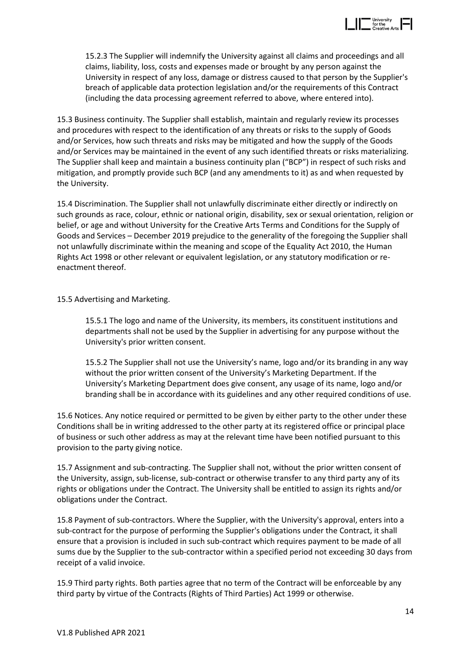

15.2.3 The Supplier will indemnify the University against all claims and proceedings and all claims, liability, loss, costs and expenses made or brought by any person against the University in respect of any loss, damage or distress caused to that person by the Supplier's breach of applicable data protection legislation and/or the requirements of this Contract (including the data processing agreement referred to above, where entered into).

15.3 Business continuity. The Supplier shall establish, maintain and regularly review its processes and procedures with respect to the identification of any threats or risks to the supply of Goods and/or Services, how such threats and risks may be mitigated and how the supply of the Goods and/or Services may be maintained in the event of any such identified threats or risks materializing. The Supplier shall keep and maintain a business continuity plan ("BCP") in respect of such risks and mitigation, and promptly provide such BCP (and any amendments to it) as and when requested by the University.

15.4 Discrimination. The Supplier shall not unlawfully discriminate either directly or indirectly on such grounds as race, colour, ethnic or national origin, disability, sex or sexual orientation, religion or belief, or age and without University for the Creative Arts Terms and Conditions for the Supply of Goods and Services – December 2019 prejudice to the generality of the foregoing the Supplier shall not unlawfully discriminate within the meaning and scope of the Equality Act 2010, the Human Rights Act 1998 or other relevant or equivalent legislation, or any statutory modification or reenactment thereof.

15.5 Advertising and Marketing.

15.5.1 The logo and name of the University, its members, its constituent institutions and departments shall not be used by the Supplier in advertising for any purpose without the University's prior written consent.

15.5.2 The Supplier shall not use the University's name, logo and/or its branding in any way without the prior written consent of the University's Marketing Department. If the University's Marketing Department does give consent, any usage of its name, logo and/or branding shall be in accordance with its guidelines and any other required conditions of use.

15.6 Notices. Any notice required or permitted to be given by either party to the other under these Conditions shall be in writing addressed to the other party at its registered office or principal place of business or such other address as may at the relevant time have been notified pursuant to this provision to the party giving notice.

15.7 Assignment and sub-contracting. The Supplier shall not, without the prior written consent of the University, assign, sub-license, sub-contract or otherwise transfer to any third party any of its rights or obligations under the Contract. The University shall be entitled to assign its rights and/or obligations under the Contract.

15.8 Payment of sub-contractors. Where the Supplier, with the University's approval, enters into a sub-contract for the purpose of performing the Supplier's obligations under the Contract, it shall ensure that a provision is included in such sub-contract which requires payment to be made of all sums due by the Supplier to the sub-contractor within a specified period not exceeding 30 days from receipt of a valid invoice.

15.9 Third party rights. Both parties agree that no term of the Contract will be enforceable by any third party by virtue of the Contracts (Rights of Third Parties) Act 1999 or otherwise.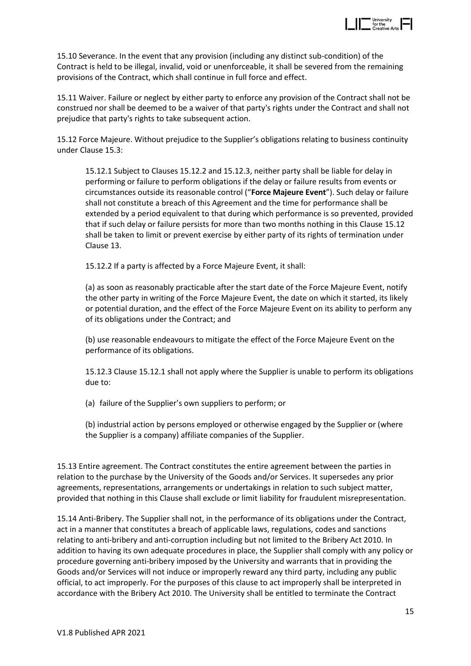

15.10 Severance. In the event that any provision (including any distinct sub-condition) of the Contract is held to be illegal, invalid, void or unenforceable, it shall be severed from the remaining provisions of the Contract, which shall continue in full force and effect.

15.11 Waiver. Failure or neglect by either party to enforce any provision of the Contract shall not be construed nor shall be deemed to be a waiver of that party's rights under the Contract and shall not prejudice that party's rights to take subsequent action.

15.12 Force Majeure. Without prejudice to the Supplier's obligations relating to business continuity under Clause 15.3:

15.12.1 Subject to Clauses 15.12.2 and 15.12.3, neither party shall be liable for delay in performing or failure to perform obligations if the delay or failure results from events or circumstances outside its reasonable control ("**Force Majeure Event**"). Such delay or failure shall not constitute a breach of this Agreement and the time for performance shall be extended by a period equivalent to that during which performance is so prevented, provided that if such delay or failure persists for more than two months nothing in this Clause 15.12 shall be taken to limit or prevent exercise by either party of its rights of termination under Clause 13.

15.12.2 If a party is affected by a Force Majeure Event, it shall:

(a) as soon as reasonably practicable after the start date of the Force Majeure Event, notify the other party in writing of the Force Majeure Event, the date on which it started, its likely or potential duration, and the effect of the Force Majeure Event on its ability to perform any of its obligations under the Contract; and

(b) use reasonable endeavours to mitigate the effect of the Force Majeure Event on the performance of its obligations.

15.12.3 Clause 15.12.1 shall not apply where the Supplier is unable to perform its obligations due to:

(a) failure of the Supplier's own suppliers to perform; or

(b) industrial action by persons employed or otherwise engaged by the Supplier or (where the Supplier is a company) affiliate companies of the Supplier.

15.13 Entire agreement. The Contract constitutes the entire agreement between the parties in relation to the purchase by the University of the Goods and/or Services. It supersedes any prior agreements, representations, arrangements or undertakings in relation to such subject matter, provided that nothing in this Clause shall exclude or limit liability for fraudulent misrepresentation.

15.14 Anti-Bribery. The Supplier shall not, in the performance of its obligations under the Contract, act in a manner that constitutes a breach of applicable laws, regulations, codes and sanctions relating to anti-bribery and anti-corruption including but not limited to the Bribery Act 2010. In addition to having its own adequate procedures in place, the Supplier shall comply with any policy or procedure governing anti-bribery imposed by the University and warrants that in providing the Goods and/or Services will not induce or improperly reward any third party, including any public official, to act improperly. For the purposes of this clause to act improperly shall be interpreted in accordance with the Bribery Act 2010. The University shall be entitled to terminate the Contract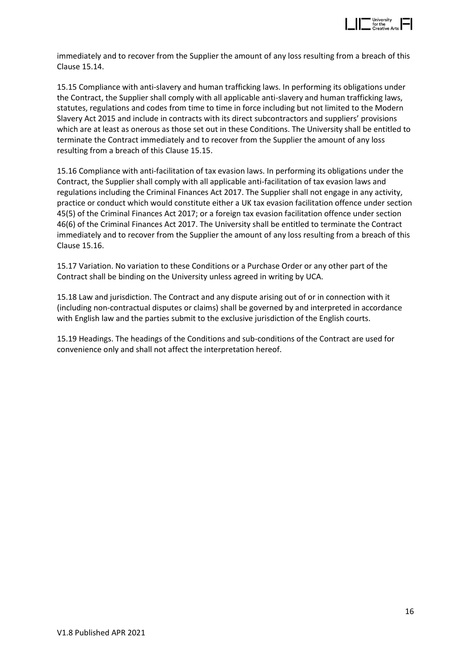

immediately and to recover from the Supplier the amount of any loss resulting from a breach of this Clause 15.14.

15.15 Compliance with anti-slavery and human trafficking laws. In performing its obligations under the Contract, the Supplier shall comply with all applicable anti-slavery and human trafficking laws, statutes, regulations and codes from time to time in force including but not limited to the Modern Slavery Act 2015 and include in contracts with its direct subcontractors and suppliers' provisions which are at least as onerous as those set out in these Conditions. The University shall be entitled to terminate the Contract immediately and to recover from the Supplier the amount of any loss resulting from a breach of this Clause 15.15.

15.16 Compliance with anti-facilitation of tax evasion laws. In performing its obligations under the Contract, the Supplier shall comply with all applicable anti-facilitation of tax evasion laws and regulations including the Criminal Finances Act 2017. The Supplier shall not engage in any activity, practice or conduct which would constitute either a UK tax evasion facilitation offence under section 45(5) of the Criminal Finances Act 2017; or a foreign tax evasion facilitation offence under section 46(6) of the Criminal Finances Act 2017. The University shall be entitled to terminate the Contract immediately and to recover from the Supplier the amount of any loss resulting from a breach of this Clause 15.16.

15.17 Variation. No variation to these Conditions or a Purchase Order or any other part of the Contract shall be binding on the University unless agreed in writing by UCA.

15.18 Law and jurisdiction. The Contract and any dispute arising out of or in connection with it (including non-contractual disputes or claims) shall be governed by and interpreted in accordance with English law and the parties submit to the exclusive jurisdiction of the English courts.

15.19 Headings. The headings of the Conditions and sub-conditions of the Contract are used for convenience only and shall not affect the interpretation hereof.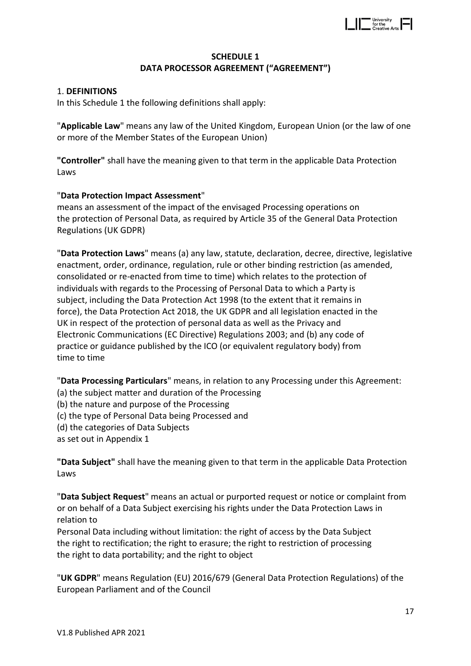

# **SCHEDULE 1 DATA PROCESSOR AGREEMENT ("AGREEMENT")**

## 1. **DEFINITIONS**

In this Schedule 1 the following definitions shall apply:

"**Applicable Law**" means any law of the United Kingdom, European Union (or the law of one or more of the Member States of the European Union)

**"Controller"** shall have the meaning given to that term in the applicable Data Protection Laws

## "**Data Protection Impact Assessment**"

means an assessment of the impact of the envisaged Processing operations on the protection of Personal Data, as required by Article 35 of the General Data Protection Regulations (UK GDPR)

"**Data Protection Laws**" means (a) any law, statute, declaration, decree, directive, legislative enactment, order, ordinance, regulation, rule or other binding restriction (as amended, consolidated or re-enacted from time to time) which relates to the protection of individuals with regards to the Processing of Personal Data to which a Party is subject, including the Data Protection Act 1998 (to the extent that it remains in force), the Data Protection Act 2018, the UK GDPR and all legislation enacted in the UK in respect of the protection of personal data as well as the Privacy and Electronic Communications (EC Directive) Regulations 2003; and (b) any code of practice or guidance published by the ICO (or equivalent regulatory body) from time to time

"**Data Processing Particulars**" means, in relation to any Processing under this Agreement:

- (a) the subject matter and duration of the Processing
- (b) the nature and purpose of the Processing
- (c) the type of Personal Data being Processed and
- (d) the categories of Data Subjects

as set out in Appendix 1

**"Data Subject"** shall have the meaning given to that term in the applicable Data Protection Laws

"**Data Subject Request**" means an actual or purported request or notice or complaint from or on behalf of a Data Subject exercising his rights under the Data Protection Laws in relation to

Personal Data including without limitation: the right of access by the Data Subject the right to rectification; the right to erasure; the right to restriction of processing the right to data portability; and the right to object

"**UK GDPR**" means Regulation (EU) 2016/679 (General Data Protection Regulations) of the European Parliament and of the Council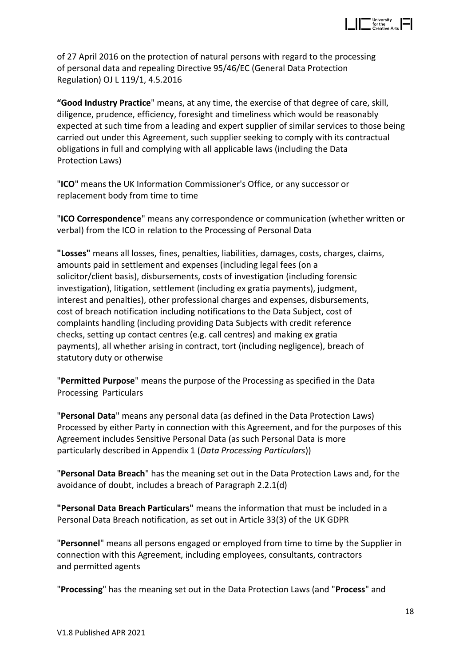

of 27 April 2016 on the protection of natural persons with regard to the processing of personal data and repealing Directive 95/46/EC (General Data Protection Regulation) OJ L 119/1, 4.5.2016

**"Good Industry Practice**" means, at any time, the exercise of that degree of care, skill, diligence, prudence, efficiency, foresight and timeliness which would be reasonably expected at such time from a leading and expert supplier of similar services to those being carried out under this Agreement, such supplier seeking to comply with its contractual obligations in full and complying with all applicable laws (including the Data Protection Laws)

"**ICO**" means the UK Information Commissioner's Office, or any successor or replacement body from time to time

"**ICO Correspondence**" means any correspondence or communication (whether written or verbal) from the ICO in relation to the Processing of Personal Data

**"Losses"** means all losses, fines, penalties, liabilities, damages, costs, charges, claims, amounts paid in settlement and expenses (including legal fees (on a solicitor/client basis), disbursements, costs of investigation (including forensic investigation), litigation, settlement (including ex gratia payments), judgment, interest and penalties), other professional charges and expenses, disbursements, cost of breach notification including notifications to the Data Subject, cost of complaints handling (including providing Data Subjects with credit reference checks, setting up contact centres (e.g. call centres) and making ex gratia payments), all whether arising in contract, tort (including negligence), breach of statutory duty or otherwise

"**Permitted Purpose**" means the purpose of the Processing as specified in the Data Processing Particulars

"**Personal Data**" means any personal data (as defined in the Data Protection Laws) Processed by either Party in connection with this Agreement, and for the purposes of this Agreement includes Sensitive Personal Data (as such Personal Data is more particularly described in Appendix 1 (*Data Processing Particulars*))

"**Personal Data Breach**" has the meaning set out in the Data Protection Laws and, for the avoidance of doubt, includes a breach of Paragraph 2.2.1(d)

**"Personal Data Breach Particulars"** means the information that must be included in a Personal Data Breach notification, as set out in Article 33(3) of the UK GDPR

"**Personnel**" means all persons engaged or employed from time to time by the Supplier in connection with this Agreement, including employees, consultants, contractors and permitted agents

"**Processing**" has the meaning set out in the Data Protection Laws (and "**Process**" and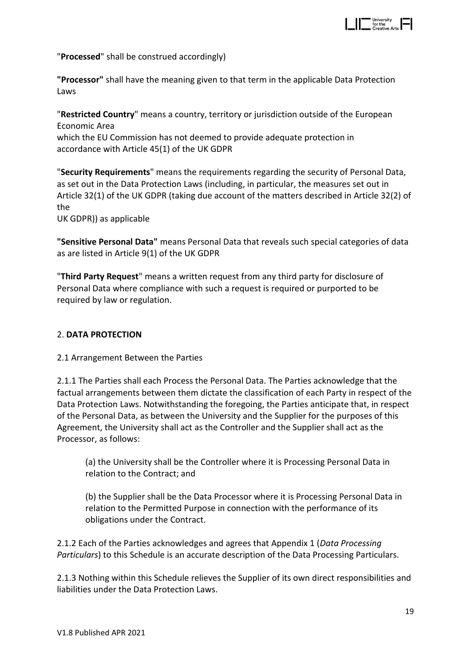

"**Processed**" shall be construed accordingly)

**"Processor"** shall have the meaning given to that term in the applicable Data Protection Laws

"**Restricted Country**" means a country, territory or jurisdiction outside of the European Economic Area which the EU Commission has not deemed to provide adequate protection in accordance with Article 45(1) of the UK GDPR

"**Security Requirements**" means the requirements regarding the security of Personal Data, as set out in the Data Protection Laws (including, in particular, the measures set out in Article 32(1) of the UK GDPR (taking due account of the matters described in Article 32(2) of the

UK GDPR)) as applicable

**"Sensitive Personal Data"** means Personal Data that reveals such special categories of data as are listed in Article 9(1) of the UK GDPR

"**Third Party Request**" means a written request from any third party for disclosure of Personal Data where compliance with such a request is required or purported to be required by law or regulation.

## 2. **DATA PROTECTION**

#### 2.1 Arrangement Between the Parties

2.1.1 The Parties shall each Process the Personal Data. The Parties acknowledge that the factual arrangements between them dictate the classification of each Party in respect of the Data Protection Laws. Notwithstanding the foregoing, the Parties anticipate that, in respect of the Personal Data, as between the University and the Supplier for the purposes of this Agreement, the University shall act as the Controller and the Supplier shall act as the Processor, as follows:

(a) the University shall be the Controller where it is Processing Personal Data in relation to the Contract; and

(b) the Supplier shall be the Data Processor where it is Processing Personal Data in relation to the Permitted Purpose in connection with the performance of its obligations under the Contract.

2.1.2 Each of the Parties acknowledges and agrees that Appendix 1 (*Data Processing Particulars*) to this Schedule is an accurate description of the Data Processing Particulars.

2.1.3 Nothing within this Schedule relieves the Supplier of its own direct responsibilities and liabilities under the Data Protection Laws.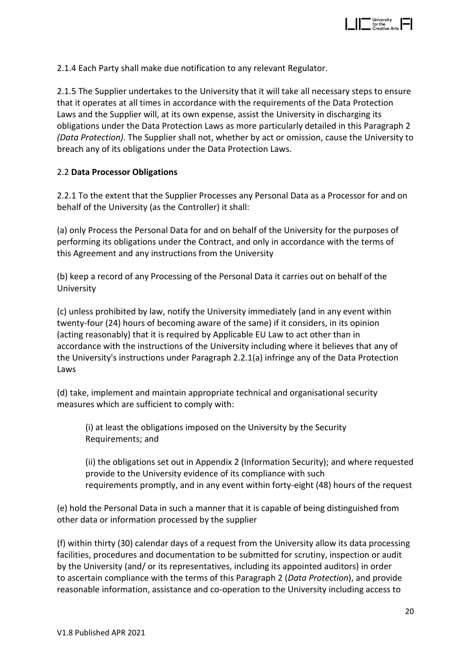

2.1.4 Each Party shall make due notification to any relevant Regulator.

2.1.5 The Supplier undertakes to the University that it will take all necessary steps to ensure that it operates at all times in accordance with the requirements of the Data Protection Laws and the Supplier will, at its own expense, assist the University in discharging its obligations under the Data Protection Laws as more particularly detailed in this Paragraph 2 *(Data Protection)*. The Supplier shall not, whether by act or omission, cause the University to breach any of its obligations under the Data Protection Laws.

#### 2.2 **Data Processor Obligations**

2.2.1 To the extent that the Supplier Processes any Personal Data as a Processor for and on behalf of the University (as the Controller) it shall:

(a) only Process the Personal Data for and on behalf of the University for the purposes of performing its obligations under the Contract, and only in accordance with the terms of this Agreement and any instructions from the University

(b) keep a record of any Processing of the Personal Data it carries out on behalf of the University

(c) unless prohibited by law, notify the University immediately (and in any event within twenty-four (24) hours of becoming aware of the same) if it considers, in its opinion (acting reasonably) that it is required by Applicable EU Law to act other than in accordance with the instructions of the University including where it believes that any of the University's instructions under Paragraph 2.2.1(a) infringe any of the Data Protection Laws

(d) take, implement and maintain appropriate technical and organisational security measures which are sufficient to comply with:

(i) at least the obligations imposed on the University by the Security Requirements; and

(ii) the obligations set out in Appendix 2 (Information Security); and where requested provide to the University evidence of its compliance with such requirements promptly, and in any event within forty-eight (48) hours of the request

(e) hold the Personal Data in such a manner that it is capable of being distinguished from other data or information processed by the supplier

(f) within thirty (30) calendar days of a request from the University allow its data processing facilities, procedures and documentation to be submitted for scrutiny, inspection or audit by the University (and/ or its representatives, including its appointed auditors) in order to ascertain compliance with the terms of this Paragraph 2 (*Data Protection*), and provide reasonable information, assistance and co-operation to the University including access to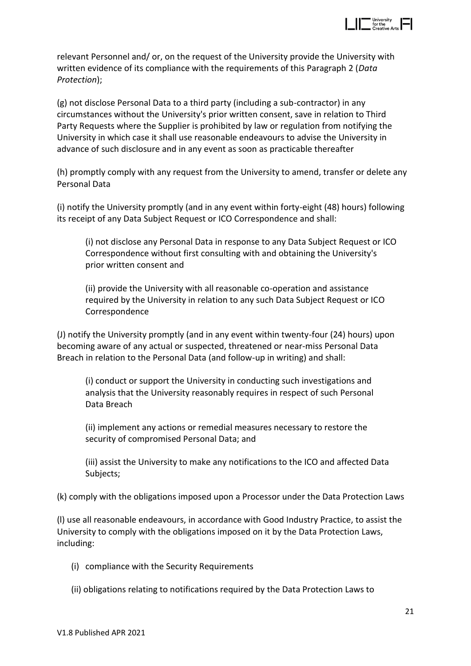

relevant Personnel and/ or, on the request of the University provide the University with written evidence of its compliance with the requirements of this Paragraph 2 (*Data Protection*);

(g) not disclose Personal Data to a third party (including a sub-contractor) in any circumstances without the University's prior written consent, save in relation to Third Party Requests where the Supplier is prohibited by law or regulation from notifying the University in which case it shall use reasonable endeavours to advise the University in advance of such disclosure and in any event as soon as practicable thereafter

(h) promptly comply with any request from the University to amend, transfer or delete any Personal Data

(i) notify the University promptly (and in any event within forty-eight (48) hours) following its receipt of any Data Subject Request or ICO Correspondence and shall:

(i) not disclose any Personal Data in response to any Data Subject Request or ICO Correspondence without first consulting with and obtaining the University's prior written consent and

(ii) provide the University with all reasonable co-operation and assistance required by the University in relation to any such Data Subject Request or ICO Correspondence

(J) notify the University promptly (and in any event within twenty-four (24) hours) upon becoming aware of any actual or suspected, threatened or near-miss Personal Data Breach in relation to the Personal Data (and follow-up in writing) and shall:

(i) conduct or support the University in conducting such investigations and analysis that the University reasonably requires in respect of such Personal Data Breach

(ii) implement any actions or remedial measures necessary to restore the security of compromised Personal Data; and

(iii) assist the University to make any notifications to the ICO and affected Data Subjects;

(k) comply with the obligations imposed upon a Processor under the Data Protection Laws

(l) use all reasonable endeavours, in accordance with Good Industry Practice, to assist the University to comply with the obligations imposed on it by the Data Protection Laws, including:

- (i) compliance with the Security Requirements
- (ii) obligations relating to notifications required by the Data Protection Laws to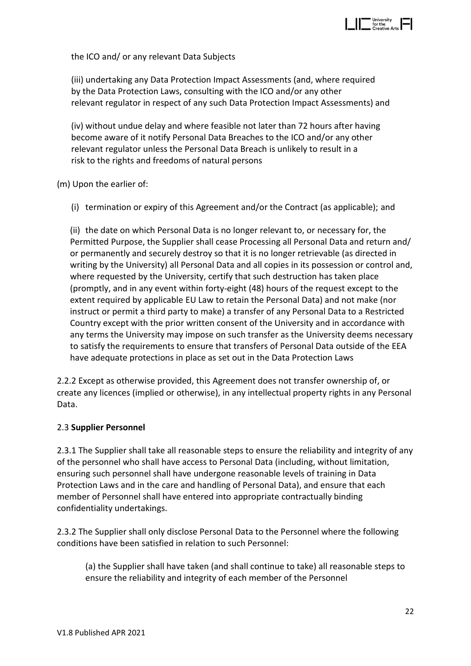

the ICO and/ or any relevant Data Subjects

(iii) undertaking any Data Protection Impact Assessments (and, where required by the Data Protection Laws, consulting with the ICO and/or any other relevant regulator in respect of any such Data Protection Impact Assessments) and

(iv) without undue delay and where feasible not later than 72 hours after having become aware of it notify Personal Data Breaches to the ICO and/or any other relevant regulator unless the Personal Data Breach is unlikely to result in a risk to the rights and freedoms of natural persons

(m) Upon the earlier of:

(i) termination or expiry of this Agreement and/or the Contract (as applicable); and

(ii) the date on which Personal Data is no longer relevant to, or necessary for, the Permitted Purpose, the Supplier shall cease Processing all Personal Data and return and/ or permanently and securely destroy so that it is no longer retrievable (as directed in writing by the University) all Personal Data and all copies in its possession or control and, where requested by the University, certify that such destruction has taken place (promptly, and in any event within forty-eight (48) hours of the request except to the extent required by applicable EU Law to retain the Personal Data) and not make (nor instruct or permit a third party to make) a transfer of any Personal Data to a Restricted Country except with the prior written consent of the University and in accordance with any terms the University may impose on such transfer as the University deems necessary to satisfy the requirements to ensure that transfers of Personal Data outside of the EEA have adequate protections in place as set out in the Data Protection Laws

2.2.2 Except as otherwise provided, this Agreement does not transfer ownership of, or create any licences (implied or otherwise), in any intellectual property rights in any Personal Data.

#### 2.3 **Supplier Personnel**

2.3.1 The Supplier shall take all reasonable steps to ensure the reliability and integrity of any of the personnel who shall have access to Personal Data (including, without limitation, ensuring such personnel shall have undergone reasonable levels of training in Data Protection Laws and in the care and handling of Personal Data), and ensure that each member of Personnel shall have entered into appropriate contractually binding confidentiality undertakings.

2.3.2 The Supplier shall only disclose Personal Data to the Personnel where the following conditions have been satisfied in relation to such Personnel:

(a) the Supplier shall have taken (and shall continue to take) all reasonable steps to ensure the reliability and integrity of each member of the Personnel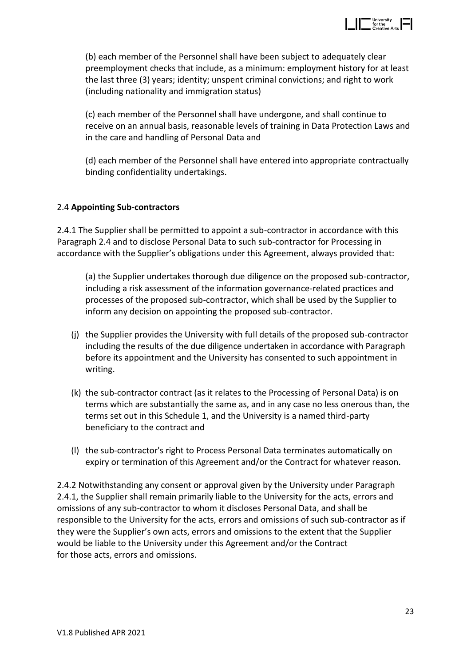

(b) each member of the Personnel shall have been subject to adequately clear preemployment checks that include, as a minimum: employment history for at least the last three (3) years; identity; unspent criminal convictions; and right to work (including nationality and immigration status)

(c) each member of the Personnel shall have undergone, and shall continue to receive on an annual basis, reasonable levels of training in Data Protection Laws and in the care and handling of Personal Data and

(d) each member of the Personnel shall have entered into appropriate contractually binding confidentiality undertakings.

## 2.4 **Appointing Sub-contractors**

2.4.1 The Supplier shall be permitted to appoint a sub-contractor in accordance with this Paragraph 2.4 and to disclose Personal Data to such sub-contractor for Processing in accordance with the Supplier's obligations under this Agreement, always provided that:

(a) the Supplier undertakes thorough due diligence on the proposed sub-contractor, including a risk assessment of the information governance-related practices and processes of the proposed sub-contractor, which shall be used by the Supplier to inform any decision on appointing the proposed sub-contractor.

- (j) the Supplier provides the University with full details of the proposed sub-contractor including the results of the due diligence undertaken in accordance with Paragraph before its appointment and the University has consented to such appointment in writing.
- (k) the sub-contractor contract (as it relates to the Processing of Personal Data) is on terms which are substantially the same as, and in any case no less onerous than, the terms set out in this Schedule 1, and the University is a named third-party beneficiary to the contract and
- (l) the sub-contractor's right to Process Personal Data terminates automatically on expiry or termination of this Agreement and/or the Contract for whatever reason.

2.4.2 Notwithstanding any consent or approval given by the University under Paragraph 2.4.1, the Supplier shall remain primarily liable to the University for the acts, errors and omissions of any sub-contractor to whom it discloses Personal Data, and shall be responsible to the University for the acts, errors and omissions of such sub-contractor as if they were the Supplier's own acts, errors and omissions to the extent that the Supplier would be liable to the University under this Agreement and/or the Contract for those acts, errors and omissions.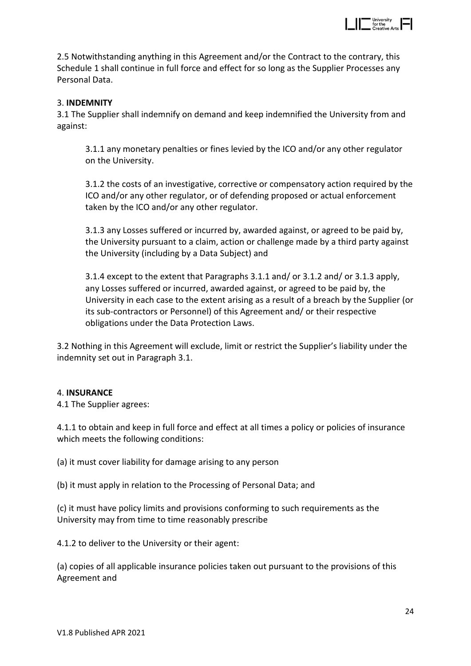

2.5 Notwithstanding anything in this Agreement and/or the Contract to the contrary, this Schedule 1 shall continue in full force and effect for so long as the Supplier Processes any Personal Data.

## 3. **INDEMNITY**

3.1 The Supplier shall indemnify on demand and keep indemnified the University from and against:

3.1.1 any monetary penalties or fines levied by the ICO and/or any other regulator on the University.

3.1.2 the costs of an investigative, corrective or compensatory action required by the ICO and/or any other regulator, or of defending proposed or actual enforcement taken by the ICO and/or any other regulator.

3.1.3 any Losses suffered or incurred by, awarded against, or agreed to be paid by, the University pursuant to a claim, action or challenge made by a third party against the University (including by a Data Subject) and

3.1.4 except to the extent that Paragraphs 3.1.1 and/ or 3.1.2 and/ or 3.1.3 apply, any Losses suffered or incurred, awarded against, or agreed to be paid by, the University in each case to the extent arising as a result of a breach by the Supplier (or its sub-contractors or Personnel) of this Agreement and/ or their respective obligations under the Data Protection Laws.

3.2 Nothing in this Agreement will exclude, limit or restrict the Supplier's liability under the indemnity set out in Paragraph 3.1.

#### 4. **INSURANCE**

4.1 The Supplier agrees:

4.1.1 to obtain and keep in full force and effect at all times a policy or policies of insurance which meets the following conditions:

(a) it must cover liability for damage arising to any person

(b) it must apply in relation to the Processing of Personal Data; and

(c) it must have policy limits and provisions conforming to such requirements as the University may from time to time reasonably prescribe

4.1.2 to deliver to the University or their agent:

(a) copies of all applicable insurance policies taken out pursuant to the provisions of this Agreement and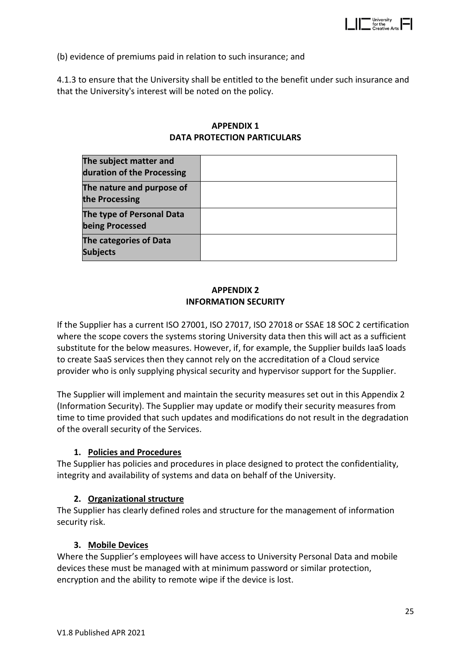

(b) evidence of premiums paid in relation to such insurance; and

4.1.3 to ensure that the University shall be entitled to the benefit under such insurance and that the University's interest will be noted on the policy.

## **APPENDIX 1 DATA PROTECTION PARTICULARS**

| The subject matter and<br>duration of the Processing |  |
|------------------------------------------------------|--|
| The nature and purpose of<br>the Processing          |  |
| The type of Personal Data<br>being Processed         |  |
| The categories of Data<br><b>Subjects</b>            |  |

# **APPENDIX 2 INFORMATION SECURITY**

If the Supplier has a current ISO 27001, ISO 27017, ISO 27018 or SSAE 18 SOC 2 certification where the scope covers the systems storing University data then this will act as a sufficient substitute for the below measures. However, if, for example, the Supplier builds IaaS loads to create SaaS services then they cannot rely on the accreditation of a Cloud service provider who is only supplying physical security and hypervisor support for the Supplier.

The Supplier will implement and maintain the security measures set out in this Appendix 2 (Information Security). The Supplier may update or modify their security measures from time to time provided that such updates and modifications do not result in the degradation of the overall security of the Services.

# **1. Policies and Procedures**

The Supplier has policies and procedures in place designed to protect the confidentiality, integrity and availability of systems and data on behalf of the University.

# **2. Organizational structure**

The Supplier has clearly defined roles and structure for the management of information security risk.

#### **3. Mobile Devices**

Where the Supplier's employees will have access to University Personal Data and mobile devices these must be managed with at minimum password or similar protection, encryption and the ability to remote wipe if the device is lost.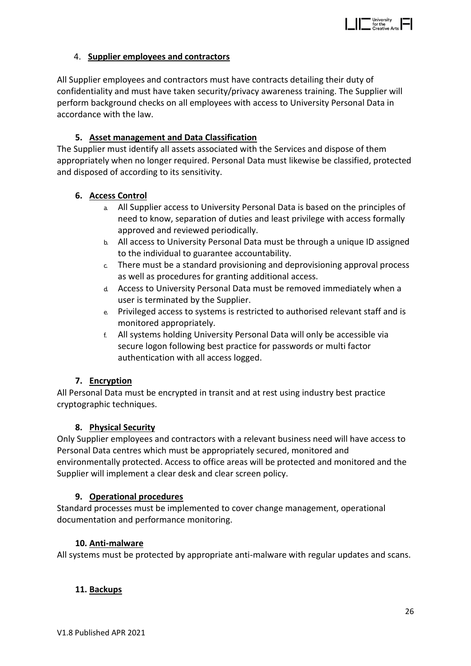

# 4. **Supplier employees and contractors**

All Supplier employees and contractors must have contracts detailing their duty of confidentiality and must have taken security/privacy awareness training. The Supplier will perform background checks on all employees with access to University Personal Data in accordance with the law.

## **5. Asset management and Data Classification**

The Supplier must identify all assets associated with the Services and dispose of them appropriately when no longer required. Personal Data must likewise be classified, protected and disposed of according to its sensitivity.

## **6. Access Control**

- a. All Supplier access to University Personal Data is based on the principles of need to know, separation of duties and least privilege with access formally approved and reviewed periodically.
- b. All access to University Personal Data must be through a unique ID assigned to the individual to guarantee accountability.
- c. There must be a standard provisioning and deprovisioning approval process as well as procedures for granting additional access.
- d. Access to University Personal Data must be removed immediately when a user is terminated by the Supplier.
- e. Privileged access to systems is restricted to authorised relevant staff and is monitored appropriately.
- f. All systems holding University Personal Data will only be accessible via secure logon following best practice for passwords or multi factor authentication with all access logged.

#### **7. Encryption**

All Personal Data must be encrypted in transit and at rest using industry best practice cryptographic techniques.

#### **8. Physical Security**

Only Supplier employees and contractors with a relevant business need will have access to Personal Data centres which must be appropriately secured, monitored and environmentally protected. Access to office areas will be protected and monitored and the Supplier will implement a clear desk and clear screen policy.

#### **9. Operational procedures**

Standard processes must be implemented to cover change management, operational documentation and performance monitoring.

#### **10. Anti-malware**

All systems must be protected by appropriate anti-malware with regular updates and scans.

# **11. Backups**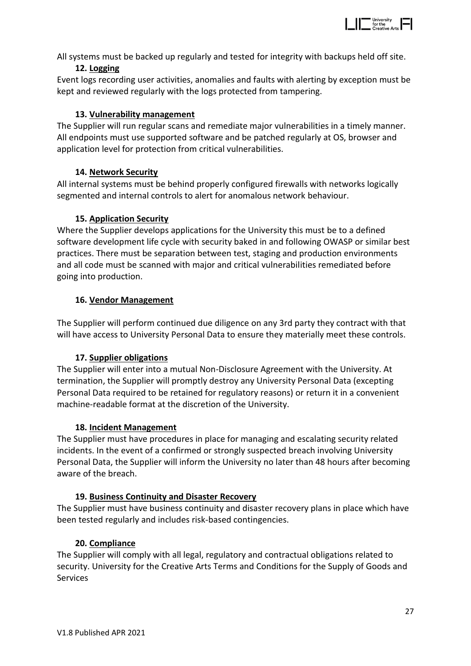

All systems must be backed up regularly and tested for integrity with backups held off site.

# **12. Logging**

Event logs recording user activities, anomalies and faults with alerting by exception must be kept and reviewed regularly with the logs protected from tampering.

# **13. Vulnerability management**

The Supplier will run regular scans and remediate major vulnerabilities in a timely manner. All endpoints must use supported software and be patched regularly at OS, browser and application level for protection from critical vulnerabilities.

# **14. Network Security**

All internal systems must be behind properly configured firewalls with networks logically segmented and internal controls to alert for anomalous network behaviour.

# **15. Application Security**

Where the Supplier develops applications for the University this must be to a defined software development life cycle with security baked in and following OWASP or similar best practices. There must be separation between test, staging and production environments and all code must be scanned with major and critical vulnerabilities remediated before going into production.

# **16. Vendor Management**

The Supplier will perform continued due diligence on any 3rd party they contract with that will have access to University Personal Data to ensure they materially meet these controls.

# **17. Supplier obligations**

The Supplier will enter into a mutual Non-Disclosure Agreement with the University. At termination, the Supplier will promptly destroy any University Personal Data (excepting Personal Data required to be retained for regulatory reasons) or return it in a convenient machine-readable format at the discretion of the University.

# **18. Incident Management**

The Supplier must have procedures in place for managing and escalating security related incidents. In the event of a confirmed or strongly suspected breach involving University Personal Data, the Supplier will inform the University no later than 48 hours after becoming aware of the breach.

# **19. Business Continuity and Disaster Recovery**

The Supplier must have business continuity and disaster recovery plans in place which have been tested regularly and includes risk-based contingencies.

# **20. Compliance**

The Supplier will comply with all legal, regulatory and contractual obligations related to security. University for the Creative Arts Terms and Conditions for the Supply of Goods and **Services**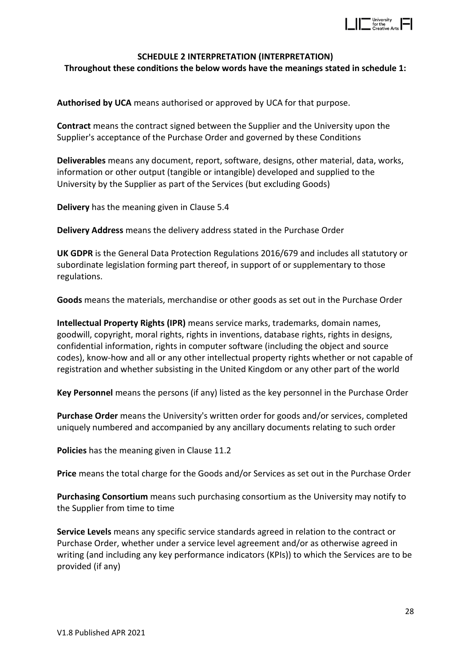

## **SCHEDULE 2 INTERPRETATION (INTERPRETATION)**

**Throughout these conditions the below words have the meanings stated in schedule 1:**

**Authorised by UCA** means authorised or approved by UCA for that purpose.

**Contract** means the contract signed between the Supplier and the University upon the Supplier's acceptance of the Purchase Order and governed by these Conditions

**Deliverables** means any document, report, software, designs, other material, data, works, information or other output (tangible or intangible) developed and supplied to the University by the Supplier as part of the Services (but excluding Goods)

**Delivery** has the meaning given in Clause 5.4

**Delivery Address** means the delivery address stated in the Purchase Order

**UK GDPR** is the General Data Protection Regulations 2016/679 and includes all statutory or subordinate legislation forming part thereof, in support of or supplementary to those regulations.

**Goods** means the materials, merchandise or other goods as set out in the Purchase Order

**Intellectual Property Rights (IPR)** means service marks, trademarks, domain names, goodwill, copyright, moral rights, rights in inventions, database rights, rights in designs, confidential information, rights in computer software (including the object and source codes), know-how and all or any other intellectual property rights whether or not capable of registration and whether subsisting in the United Kingdom or any other part of the world

**Key Personnel** means the persons (if any) listed as the key personnel in the Purchase Order

**Purchase Order** means the University's written order for goods and/or services, completed uniquely numbered and accompanied by any ancillary documents relating to such order

**Policies** has the meaning given in Clause 11.2

**Price** means the total charge for the Goods and/or Services as set out in the Purchase Order

**Purchasing Consortium** means such purchasing consortium as the University may notify to the Supplier from time to time

**Service Levels** means any specific service standards agreed in relation to the contract or Purchase Order, whether under a service level agreement and/or as otherwise agreed in writing (and including any key performance indicators (KPIs)) to which the Services are to be provided (if any)